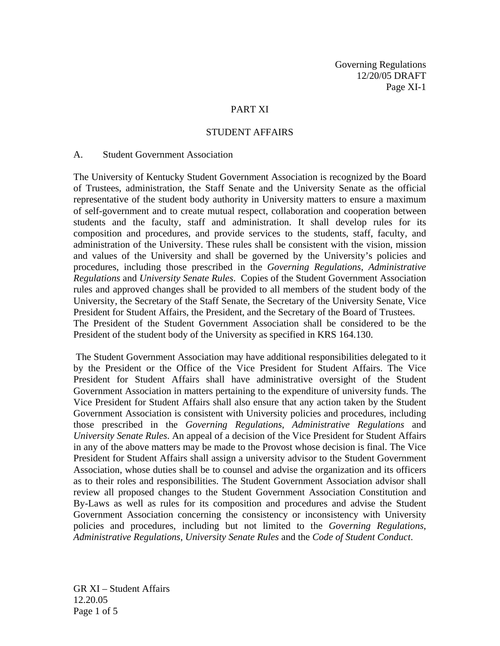Governing Regulations 12/20/05 DRAFT Page XI-1

### PART XI

#### STUDENT AFFAIRS

#### A. Student Government Association

The University of Kentucky Student Government Association is recognized by the Board of Trustees, administration, the Staff Senate and the University Senate as the official representative of the student body authority in University matters to ensure a maximum of self-government and to create mutual respect, collaboration and cooperation between students and the faculty, staff and administration. It shall develop rules for its composition and procedures, and provide services to the students, staff, faculty, and administration of the University. These rules shall be consistent with the vision, mission and values of the University and shall be governed by the University's policies and procedures, including those prescribed in the *Governing Regulations*, *Administrative Regulations* and *University Senate Rules*. Copies of the Student Government Association rules and approved changes shall be provided to all members of the student body of the University, the Secretary of the Staff Senate, the Secretary of the University Senate, Vice President for Student Affairs, the President, and the Secretary of the Board of Trustees. The President of the Student Government Association shall be considered to be the President of the student body of the University as specified in KRS 164.130.

 The Student Government Association may have additional responsibilities delegated to it by the President or the Office of the Vice President for Student Affairs. The Vice President for Student Affairs shall have administrative oversight of the Student Government Association in matters pertaining to the expenditure of university funds. The Vice President for Student Affairs shall also ensure that any action taken by the Student Government Association is consistent with University policies and procedures, including those prescribed in the *Governing Regulations*, *Administrative Regulations* and *University Senate Rules*. An appeal of a decision of the Vice President for Student Affairs in any of the above matters may be made to the Provost whose decision is final. The Vice President for Student Affairs shall assign a university advisor to the Student Government Association, whose duties shall be to counsel and advise the organization and its officers as to their roles and responsibilities. The Student Government Association advisor shall review all proposed changes to the Student Government Association Constitution and By-Laws as well as rules for its composition and procedures and advise the Student Government Association concerning the consistency or inconsistency with University policies and procedures, including but not limited to the *Governing Regulations*, *Administrative Regulations*, *University Senate Rules* and the *Code of Student Conduct*.

GR XI – Student Affairs 12.20.05 Page 1 of 5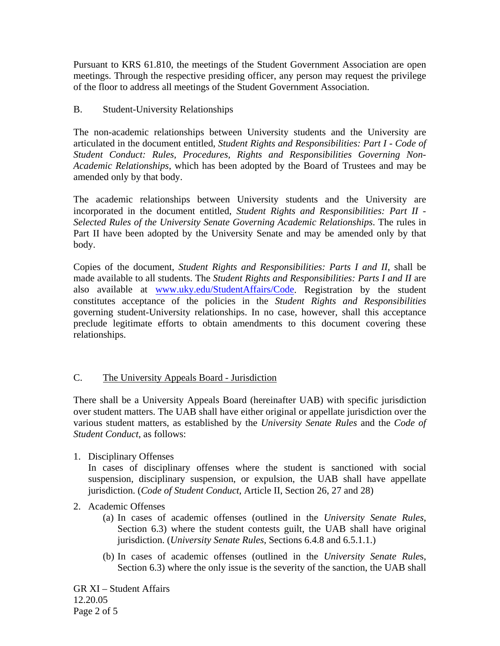Pursuant to KRS 61.810, the meetings of the Student Government Association are open meetings. Through the respective presiding officer, any person may request the privilege of the floor to address all meetings of the Student Government Association.

# B. Student-University Relationships

The non-academic relationships between University students and the University are articulated in the document entitled, *Student Rights and Responsibilities: Part I - Code of Student Conduct: Rules, Procedures, Rights and Responsibilities Governing Non-Academic Relationships*, which has been adopted by the Board of Trustees and may be amended only by that body.

The academic relationships between University students and the University are incorporated in the document entitled, *Student Rights and Responsibilities: Part II - Selected Rules of the University Senate Governing Academic Relationships*. The rules in Part II have been adopted by the University Senate and may be amended only by that body.

Copies of the document, *Student Rights and Responsibilities: Parts I and II*, shall be made available to all students. The *Student Rights and Responsibilities: Parts I and II* are also available at www.uky.edu/StudentAffairs/Code. Registration by the student constitutes acceptance of the policies in the *Student Rights and Responsibilities* governing student-University relationships. In no case, however, shall this acceptance preclude legitimate efforts to obtain amendments to this document covering these relationships.

# C. The University Appeals Board - Jurisdiction

There shall be a University Appeals Board (hereinafter UAB) with specific jurisdiction over student matters. The UAB shall have either original or appellate jurisdiction over the various student matters, as established by the *University Senate Rules* and the *Code of Student Conduct*, as follows:

1. Disciplinary Offenses

In cases of disciplinary offenses where the student is sanctioned with social suspension, disciplinary suspension, or expulsion, the UAB shall have appellate jurisdiction. (*Code of Student Conduct*, Article II, Section 26, 27 and 28)

- 2. Academic Offenses
	- (a) In cases of academic offenses (outlined in the *University Senate Rules*, Section 6.3) where the student contests guilt, the UAB shall have original jurisdiction. (*University Senate Rules*, Sections 6.4.8 and 6.5.1.1.)
	- (b) In cases of academic offenses (outlined in the *University Senate Rule*s, Section 6.3) where the only issue is the severity of the sanction, the UAB shall

GR XI – Student Affairs 12.20.05 Page 2 of 5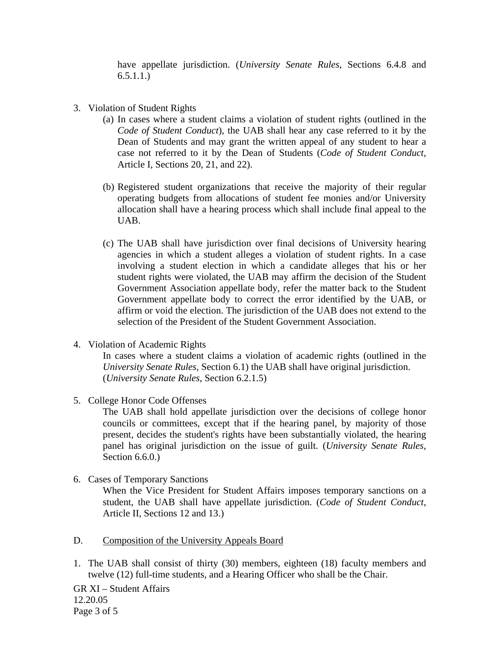have appellate jurisdiction. (*University Senate Rules*, Sections 6.4.8 and 6.5.1.1.)

- 3. Violation of Student Rights
	- (a) In cases where a student claims a violation of student rights (outlined in the *Code of Student Conduct*), the UAB shall hear any case referred to it by the Dean of Students and may grant the written appeal of any student to hear a case not referred to it by the Dean of Students (*Code of Student Conduct*, Article I, Sections 20, 21, and 22).
	- (b) Registered student organizations that receive the majority of their regular operating budgets from allocations of student fee monies and/or University allocation shall have a hearing process which shall include final appeal to the UAB.
	- (c) The UAB shall have jurisdiction over final decisions of University hearing agencies in which a student alleges a violation of student rights. In a case involving a student election in which a candidate alleges that his or her student rights were violated, the UAB may affirm the decision of the Student Government Association appellate body, refer the matter back to the Student Government appellate body to correct the error identified by the UAB, or affirm or void the election. The jurisdiction of the UAB does not extend to the selection of the President of the Student Government Association.
- 4. Violation of Academic Rights

In cases where a student claims a violation of academic rights (outlined in the *University Senate Rules*, Section 6.1) the UAB shall have original jurisdiction. (*University Senate Rules*, Section 6.2.1.5)

5. College Honor Code Offenses

The UAB shall hold appellate jurisdiction over the decisions of college honor councils or committees, except that if the hearing panel, by majority of those present, decides the student's rights have been substantially violated, the hearing panel has original jurisdiction on the issue of guilt. (*University Senate Rules*, Section 6.6.0.)

6. Cases of Temporary Sanctions

When the Vice President for Student Affairs imposes temporary sanctions on a student, the UAB shall have appellate jurisdiction. (*Code of Student Conduct*, Article II, Sections 12 and 13.)

- D. Composition of the University Appeals Board
- 1. The UAB shall consist of thirty (30) members, eighteen (18) faculty members and twelve (12) full-time students, and a Hearing Officer who shall be the Chair.

GR XI – Student Affairs 12.20.05 Page 3 of 5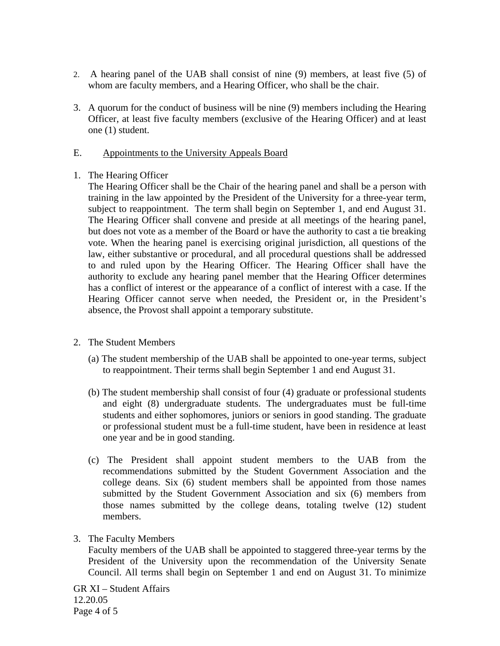- 2. A hearing panel of the UAB shall consist of nine (9) members, at least five (5) of whom are faculty members, and a Hearing Officer, who shall be the chair.
- 3. A quorum for the conduct of business will be nine (9) members including the Hearing Officer, at least five faculty members (exclusive of the Hearing Officer) and at least one (1) student.

### E. Appointments to the University Appeals Board

### 1. The Hearing Officer

The Hearing Officer shall be the Chair of the hearing panel and shall be a person with training in the law appointed by the President of the University for a three-year term, subject to reappointment. The term shall begin on September 1, and end August 31. The Hearing Officer shall convene and preside at all meetings of the hearing panel, but does not vote as a member of the Board or have the authority to cast a tie breaking vote. When the hearing panel is exercising original jurisdiction, all questions of the law, either substantive or procedural, and all procedural questions shall be addressed to and ruled upon by the Hearing Officer. The Hearing Officer shall have the authority to exclude any hearing panel member that the Hearing Officer determines has a conflict of interest or the appearance of a conflict of interest with a case. If the Hearing Officer cannot serve when needed, the President or, in the President's absence, the Provost shall appoint a temporary substitute.

# 2. The Student Members

- (a) The student membership of the UAB shall be appointed to one-year terms, subject to reappointment. Their terms shall begin September 1 and end August 31.
- (b) The student membership shall consist of four (4) graduate or professional students and eight (8) undergraduate students. The undergraduates must be full-time students and either sophomores, juniors or seniors in good standing. The graduate or professional student must be a full-time student, have been in residence at least one year and be in good standing.
- (c) The President shall appoint student members to the UAB from the recommendations submitted by the Student Government Association and the college deans. Six (6) student members shall be appointed from those names submitted by the Student Government Association and six (6) members from those names submitted by the college deans, totaling twelve (12) student members.
- 3. The Faculty Members

Faculty members of the UAB shall be appointed to staggered three-year terms by the President of the University upon the recommendation of the University Senate Council. All terms shall begin on September 1 and end on August 31. To minimize

GR XI – Student Affairs 12.20.05 Page 4 of 5